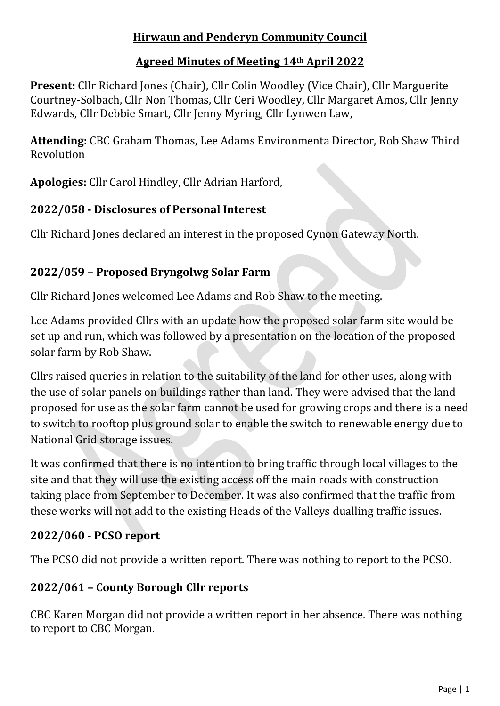# **Hirwaun and Penderyn Community Council**

# **Agreed Minutes of Meeting 14th April 2022**

**Present:** Cllr Richard Jones (Chair), Cllr Colin Woodley (Vice Chair), Cllr Marguerite Courtney-Solbach, Cllr Non Thomas, Cllr Ceri Woodley, Cllr Margaret Amos, Cllr Jenny Edwards, Cllr Debbie Smart, Cllr Jenny Myring, Cllr Lynwen Law,

**Attending:** CBC Graham Thomas, Lee Adams Environmenta Director, Rob Shaw Third Revolution

**Apologies:** Cllr Carol Hindley, Cllr Adrian Harford,

# **2022/058 - Disclosures of Personal Interest**

Cllr Richard Jones declared an interest in the proposed Cynon Gateway North.

# **2022/059 – Proposed Bryngolwg Solar Farm**

Cllr Richard Jones welcomed Lee Adams and Rob Shaw to the meeting.

Lee Adams provided Cllrs with an update how the proposed solar farm site would be set up and run, which was followed by a presentation on the location of the proposed solar farm by Rob Shaw.

Cllrs raised queries in relation to the suitability of the land for other uses, along with the use of solar panels on buildings rather than land. They were advised that the land proposed for use as the solar farm cannot be used for growing crops and there is a need to switch to rooftop plus ground solar to enable the switch to renewable energy due to National Grid storage issues.

It was confirmed that there is no intention to bring traffic through local villages to the site and that they will use the existing access off the main roads with construction taking place from September to December. It was also confirmed that the traffic from these works will not add to the existing Heads of the Valleys dualling traffic issues.

# **2022/060 - PCSO report**

The PCSO did not provide a written report. There was nothing to report to the PCSO.

# **2022/061 – County Borough Cllr reports**

CBC Karen Morgan did not provide a written report in her absence. There was nothing to report to CBC Morgan.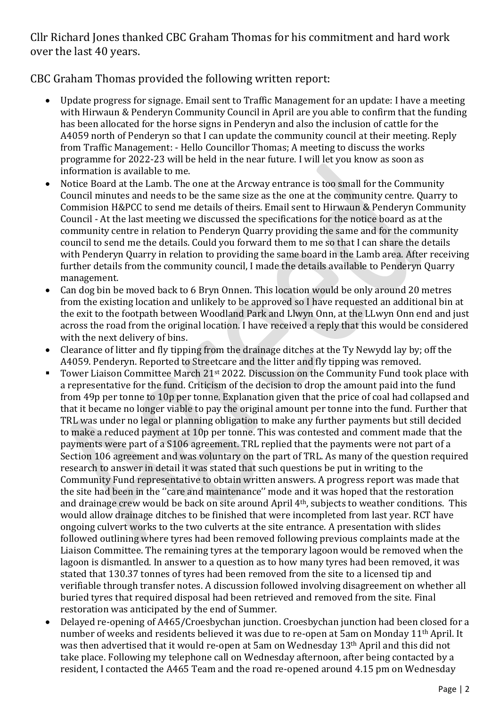Cllr Richard Jones thanked CBC Graham Thomas for his commitment and hard work over the last 40 years.

#### CBC Graham Thomas provided the following written report:

- Update progress for signage. Email sent to Traffic Management for an update: I have a meeting with Hirwaun & Penderyn Community Council in April are you able to confirm that the funding has been allocated for the horse signs in Penderyn and also the inclusion of cattle for the A4059 north of Penderyn so that I can update the community council at their meeting. Reply from Traffic Management: - Hello Councillor Thomas; A meeting to discuss the works programme for 2022-23 will be held in the near future. I will let you know as soon as information is available to me.
- Notice Board at the Lamb. The one at the Arcway entrance is too small for the Community Council minutes and needs to be the same size as the one at the community centre. Quarry to Commision H&PCC to send me details of theirs. Email sent to Hirwaun & Penderyn Community Council - At the last meeting we discussed the specifications for the notice board as at the community centre in relation to Penderyn Quarry providing the same and for the community council to send me the details. Could you forward them to me so that I can share the details with Penderyn Quarry in relation to providing the same board in the Lamb area. After receiving further details from the community council, I made the details available to Penderyn Quarry management.
- Can dog bin be moved back to 6 Bryn Onnen. This location would be only around 20 metres from the existing location and unlikely to be approved so I have requested an additional bin at the exit to the footpath between Woodland Park and Llwyn Onn, at the LLwyn Onn end and just across the road from the original location. I have received a reply that this would be considered with the next delivery of bins.
- Clearance of litter and fly tipping from the drainage ditches at the Ty Newydd lay by; off the A4059. Penderyn. Reported to Streetcare and the litter and fly tipping was removed.
- Tower Liaison Committee March 21<sup>st</sup> 2022. Discussion on the Community Fund took place with a representative for the fund. Criticism of the decision to drop the amount paid into the fund from 49p per tonne to 10p per tonne. Explanation given that the price of coal had collapsed and that it became no longer viable to pay the original amount per tonne into the fund. Further that TRL was under no legal or planning obligation to make any further payments but still decided to make a reduced payment at 10p per tonne. This was contested and comment made that the payments were part of a S106 agreement. TRL replied that the payments were not part of a Section 106 agreement and was voluntary on the part of TRL. As many of the question required research to answer in detail it was stated that such questions be put in writing to the Community Fund representative to obtain written answers. A progress report was made that the site had been in the ''care and maintenance'' mode and it was hoped that the restoration and drainage crew would be back on site around April 4th, subjects to weather conditions. This would allow drainage ditches to be finished that were incompleted from last year. RCT have ongoing culvert works to the two culverts at the site entrance. A presentation with slides followed outlining where tyres had been removed following previous complaints made at the Liaison Committee. The remaining tyres at the temporary lagoon would be removed when the lagoon is dismantled. In answer to a question as to how many tyres had been removed, it was stated that 130.37 tonnes of tyres had been removed from the site to a licensed tip and verifiable through transfer notes. A discussion followed involving disagreement on whether all buried tyres that required disposal had been retrieved and removed from the site. Final restoration was anticipated by the end of Summer.
- Delayed re-opening of A465/Croesbychan junction. Croesbychan junction had been closed for a number of weeks and residents believed it was due to re-open at 5am on Monday 11th April. It was then advertised that it would re-open at 5am on Wednesday 13th April and this did not take place. Following my telephone call on Wednesday afternoon, after being contacted by a resident, I contacted the A465 Team and the road re-opened around 4.15 pm on Wednesday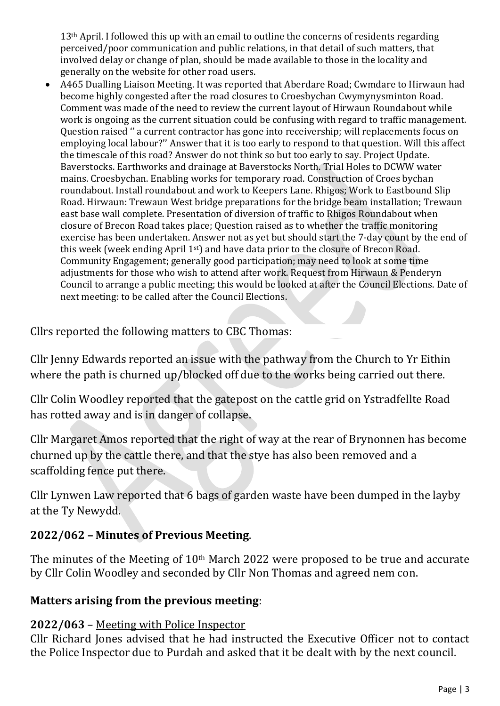13<sup>th</sup> April. I followed this up with an email to outline the concerns of residents regarding perceived/poor communication and public relations, in that detail of such matters, that involved delay or change of plan, should be made available to those in the locality and generally on the website for other road users.

• A465 Dualling Liaison Meeting. It was reported that Aberdare Road; Cwmdare to Hirwaun had become highly congested after the road closures to Croesbychan Cwymynysminton Road. Comment was made of the need to review the current layout of Hirwaun Roundabout while work is ongoing as the current situation could be confusing with regard to traffic management. Question raised '' a current contractor has gone into receivership; will replacements focus on employing local labour?'' Answer that it is too early to respond to that question. Will this affect the timescale of this road? Answer do not think so but too early to say. Project Update. Baverstocks. Earthworks and drainage at Baverstocks North. Trial Holes to DCWW water mains. Croesbychan. Enabling works for temporary road. Construction of Croes bychan roundabout. Install roundabout and work to Keepers Lane. Rhigos; Work to Eastbound Slip Road. Hirwaun: Trewaun West bridge preparations for the bridge beam installation; Trewaun east base wall complete. Presentation of diversion of traffic to Rhigos Roundabout when closure of Brecon Road takes place; Question raised as to whether the traffic monitoring exercise has been undertaken. Answer not as yet but should start the 7-day count by the end of this week (week ending April 1st) and have data prior to the closure of Brecon Road. Community Engagement; generally good participation; may need to look at some time adjustments for those who wish to attend after work. Request from Hirwaun & Penderyn Council to arrange a public meeting; this would be looked at after the Council Elections. Date of next meeting: to be called after the Council Elections.

Cllrs reported the following matters to CBC Thomas:

Cllr Jenny Edwards reported an issue with the pathway from the Church to Yr Eithin where the path is churned up/blocked off due to the works being carried out there.

Cllr Colin Woodley reported that the gatepost on the cattle grid on Ystradfellte Road has rotted away and is in danger of collapse.

Cllr Margaret Amos reported that the right of way at the rear of Brynonnen has become churned up by the cattle there, and that the stye has also been removed and a scaffolding fence put there.

Cllr Lynwen Law reported that 6 bags of garden waste have been dumped in the layby at the Ty Newydd.

# **2022/062 – Minutes of Previous Meeting**.

The minutes of the Meeting of 10<sup>th</sup> March 2022 were proposed to be true and accurate by Cllr Colin Woodley and seconded by Cllr Non Thomas and agreed nem con.

#### **Matters arising from the previous meeting**:

#### **2022/063** – Meeting with Police Inspector

Cllr Richard Jones advised that he had instructed the Executive Officer not to contact the Police Inspector due to Purdah and asked that it be dealt with by the next council.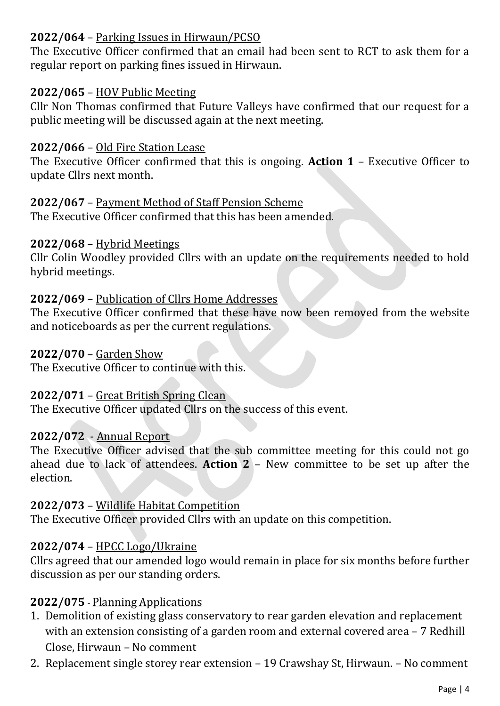# **2022/064** – Parking Issues in Hirwaun/PCSO

The Executive Officer confirmed that an email had been sent to RCT to ask them for a regular report on parking fines issued in Hirwaun.

#### **2022/065** – HOV Public Meeting

Cllr Non Thomas confirmed that Future Valleys have confirmed that our request for a public meeting will be discussed again at the next meeting.

#### **2022/066** – Old Fire Station Lease

The Executive Officer confirmed that this is ongoing. **Action 1** – Executive Officer to update Cllrs next month.

#### **2022/067** – Payment Method of Staff Pension Scheme

The Executive Officer confirmed that this has been amended.

#### **2022/068** – Hybrid Meetings

Cllr Colin Woodley provided Cllrs with an update on the requirements needed to hold hybrid meetings.

#### **2022/069** – Publication of Cllrs Home Addresses

The Executive Officer confirmed that these have now been removed from the website and noticeboards as per the current regulations.

#### **2022/070** – Garden Show

The Executive Officer to continue with this.

#### **2022/071** – Great British Spring Clean

The Executive Officer updated Cllrs on the success of this event.

#### **2022/072** - Annual Report

The Executive Officer advised that the sub committee meeting for this could not go ahead due to lack of attendees. **Action 2** – New committee to be set up after the election.

#### **2022/073** – Wildlife Habitat Competition

The Executive Officer provided Cllrs with an update on this competition.

#### **2022/074** – HPCC Logo/Ukraine

Cllrs agreed that our amended logo would remain in place for six months before further discussion as per our standing orders.

#### **2022/075** - Planning Applications

- 1. Demolition of existing glass conservatory to rear garden elevation and replacement with an extension consisting of a garden room and external covered area - 7 Redhill Close, Hirwaun – No comment
- 2. Replacement single storey rear extension 19 Crawshay St, Hirwaun. No comment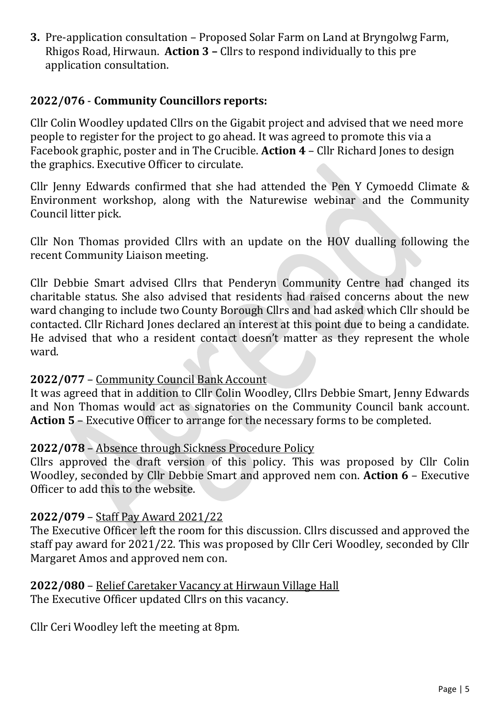**3.** Pre-application consultation – Proposed Solar Farm on Land at Bryngolwg Farm, Rhigos Road, Hirwaun. **Action 3 –** Cllrs to respond individually to this pre application consultation.

### **2022/076** - **Community Councillors reports:**

Cllr Colin Woodley updated Cllrs on the Gigabit project and advised that we need more people to register for the project to go ahead. It was agreed to promote this via a Facebook graphic, poster and in The Crucible. **Action 4** – Cllr Richard Jones to design the graphics. Executive Officer to circulate.

Cllr Jenny Edwards confirmed that she had attended the Pen Y Cymoedd Climate & Environment workshop, along with the Naturewise webinar and the Community Council litter pick.

Cllr Non Thomas provided Cllrs with an update on the HOV dualling following the recent Community Liaison meeting.

Cllr Debbie Smart advised Cllrs that Penderyn Community Centre had changed its charitable status. She also advised that residents had raised concerns about the new ward changing to include two County Borough Cllrs and had asked which Cllr should be contacted. Cllr Richard Jones declared an interest at this point due to being a candidate. He advised that who a resident contact doesn't matter as they represent the whole ward.

#### **2022/077** – Community Council Bank Account

It was agreed that in addition to Cllr Colin Woodley, Cllrs Debbie Smart, Jenny Edwards and Non Thomas would act as signatories on the Community Council bank account. **Action 5** – Executive Officer to arrange for the necessary forms to be completed.

#### **2022/078** – Absence through Sickness Procedure Policy

Cllrs approved the draft version of this policy. This was proposed by Cllr Colin Woodley, seconded by Cllr Debbie Smart and approved nem con. **Action 6** – Executive Officer to add this to the website.

#### **2022/079** – Staff Pay Award 2021/22

The Executive Officer left the room for this discussion. Cllrs discussed and approved the staff pay award for 2021/22. This was proposed by Cllr Ceri Woodley, seconded by Cllr Margaret Amos and approved nem con.

# **2022/080** – Relief Caretaker Vacancy at Hirwaun Village Hall

The Executive Officer updated Cllrs on this vacancy.

Cllr Ceri Woodley left the meeting at 8pm.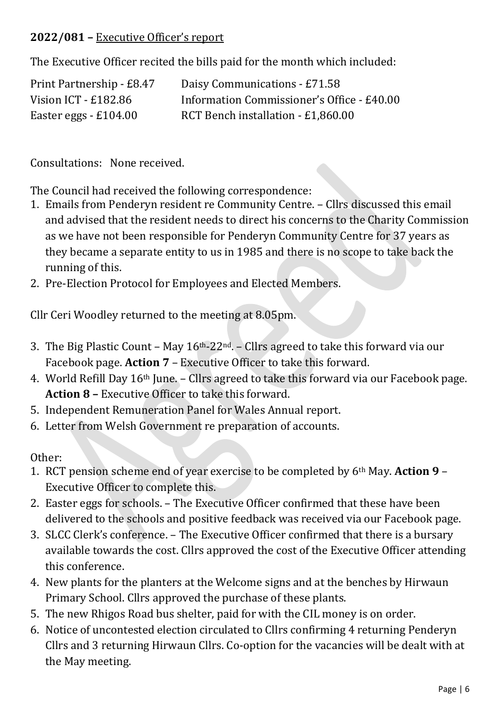# **2022/081 –** Executive Officer's report

The Executive Officer recited the bills paid for the month which included:

| Print Partnership - £8.47 | Daisy Communications - £71.58              |
|---------------------------|--------------------------------------------|
| Vision ICT - $£182.86$    | Information Commissioner's Office - £40.00 |
| Easter eggs $-$ £104.00   | RCT Bench installation - £1,860.00         |

Consultations: None received.

The Council had received the following correspondence:

- 1. Emails from Penderyn resident re Community Centre. Cllrs discussed this email and advised that the resident needs to direct his concerns to the Charity Commission as we have not been responsible for Penderyn Community Centre for 37 years as they became a separate entity to us in 1985 and there is no scope to take back the running of this.
- 2. Pre-Election Protocol for Employees and Elected Members.

Cllr Ceri Woodley returned to the meeting at 8.05pm.

- 3. The Big Plastic Count May  $16<sup>th</sup>$ -22<sup>nd</sup>. Cllrs agreed to take this forward via our Facebook page. **Action 7** – Executive Officer to take this forward.
- 4. World Refill Day 16th June. Cllrs agreed to take this forward via our Facebook page. **Action 8 –** Executive Officer to take this forward.
- 5. Independent Remuneration Panel for Wales Annual report.
- 6. Letter from Welsh Government re preparation of accounts.

Other:

- 1. RCT pension scheme end of year exercise to be completed by 6th May. **Action 9** Executive Officer to complete this.
- 2. Easter eggs for schools. The Executive Officer confirmed that these have been delivered to the schools and positive feedback was received via our Facebook page.
- 3. SLCC Clerk's conference. The Executive Officer confirmed that there is a bursary available towards the cost. Cllrs approved the cost of the Executive Officer attending this conference.
- 4. New plants for the planters at the Welcome signs and at the benches by Hirwaun Primary School. Cllrs approved the purchase of these plants.
- 5. The new Rhigos Road bus shelter, paid for with the CIL money is on order.
- 6. Notice of uncontested election circulated to Cllrs confirming 4 returning Penderyn Cllrs and 3 returning Hirwaun Cllrs. Co-option for the vacancies will be dealt with at the May meeting.